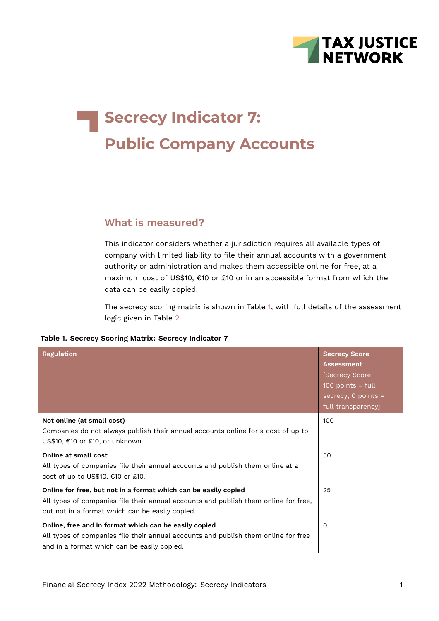

# **Secrecy Indicator 7: Public Company Accounts**

## **What is measured?**

This indicator considers whether a jurisdiction requires all available types of company with limited liability to file their annual accounts with a government authority or administration and makes them accessible online for free, at a maximum cost of US\$10, €10 or £10 or in an accessible format from which the data can be easily copied.<sup>[1](#page-6-0)</sup>

<span id="page-0-1"></span><span id="page-0-0"></span>The secrecy scoring matrix is shown in Table [1,](#page-0-0) with full details of the assessment logic given in Table [2](#page-3-0).

| <b>Regulation</b>                                                                                                                                                                                         | <b>Secrecy Score</b><br><b>Assessment</b><br>[Secrecy Score:<br>$100$ points = full<br>secrecy; $0$ points =<br>full transparency] |
|-----------------------------------------------------------------------------------------------------------------------------------------------------------------------------------------------------------|------------------------------------------------------------------------------------------------------------------------------------|
| Not online (at small cost)<br>Companies do not always publish their annual accounts online for a cost of up to<br>US\$10, €10 or £10, or unknown.                                                         | 100                                                                                                                                |
| Online at small cost<br>All types of companies file their annual accounts and publish them online at a<br>cost of up to US\$10, €10 or £10.                                                               | 50                                                                                                                                 |
| Online for free, but not in a format which can be easily copied<br>All types of companies file their annual accounts and publish them online for free,<br>but not in a format which can be easily copied. | 25                                                                                                                                 |
| Online, free and in format which can be easily copied<br>All types of companies file their annual accounts and publish them online for free<br>and in a format which can be easily copied.                | $\Omega$                                                                                                                           |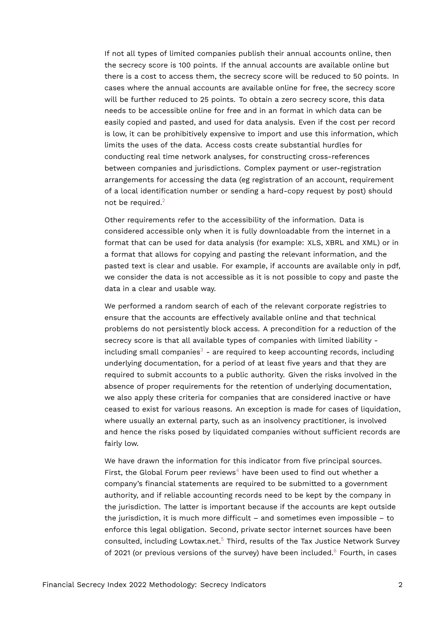If not all types of limited companies publish their annual accounts online, then the secrecy score is 100 points. If the annual accounts are available online but there is a cost to access them, the secrecy score will be reduced to 50 points. In cases where the annual accounts are available online for free, the secrecy score will be further reduced to 25 points. To obtain a zero secrecy score, this data needs to be accessible online for free and in an format in which data can be easily copied and pasted, and used for data analysis. Even if the cost per record is low, it can be prohibitively expensive to import and use this information, which limits the uses of the data. Access costs create substantial hurdles for conducting real time network analyses, for constructing cross-references between companies and jurisdictions. Complex payment or user-registration arrangements for accessing the data (eg registration of an account, requirement of a local identification number or sending a hard-copy request by post) should not be required.<sup>[2](#page-6-1)</sup>

<span id="page-1-0"></span>Other requirements refer to the accessibility of the information. Data is considered accessible only when it is fully downloadable from the internet in a format that can be used for data analysis (for example: XLS, XBRL and XML) or in a format that allows for copying and pasting the relevant information, and the pasted text is clear and usable. For example, if accounts are available only in pdf, we consider the data is not accessible as it is not possible to copy and paste the data in a clear and usable way.

<span id="page-1-1"></span>We performed a random search of each of the relevant corporate registries to ensure that the accounts are effectively available online and that technical problems do not persistently block access. A precondition for a reduction of the secrecy score is that all available types of companies with limited liability - including small companies<sup>[3](#page-6-2)</sup> - are required to keep accounting records, including underlying documentation, for a period of at least five years and that they are required to submit accounts to a public authority. Given the risks involved in the absence of proper requirements for the retention of underlying documentation, we also apply these criteria for companies that are considered inactive or have ceased to exist for various reasons. An exception is made for cases of liquidation, where usually an external party, such as an insolvency practitioner, is involved and hence the risks posed by liquidated companies without sufficient records are fairly low.

<span id="page-1-4"></span><span id="page-1-3"></span><span id="page-1-2"></span>We have drawn the information for this indicator from five principal sources. First, the Global Forum peer reviews<sup>[4](#page-6-3)</sup> have been used to find out whether a company's financial statements are required to be submitted to a government authority, and if reliable accounting records need to be kept by the company in the jurisdiction. The latter is important because if the accounts are kept outside the jurisdiction, it is much more difficult – and sometimes even impossible – to enforce this legal obligation. Second, private sector internet sources have been consulted, including Lowtax.net.[5](#page-6-4) Third, results of the Tax Justice Network Survey of 2021 (or previous versions of the survey) have been included. $6$  Fourth, in cases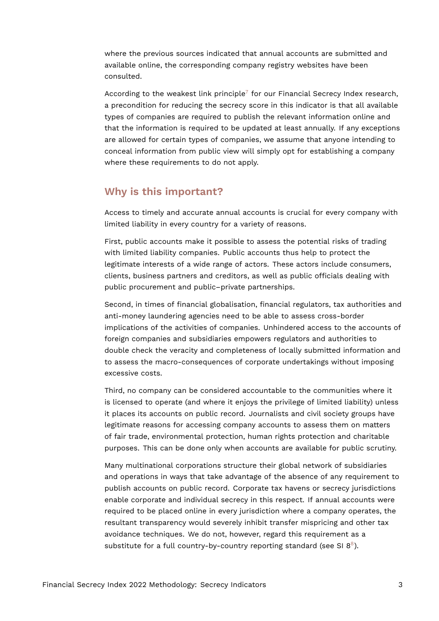where the previous sources indicated that annual accounts are submitted and available online, the corresponding company registry websites have been consulted.

<span id="page-2-0"></span>According to the weakest link principle<sup>[7](#page-6-6)</sup> for our Financial Secrecy Index research, a precondition for reducing the secrecy score in this indicator is that all available types of companies are required to publish the relevant information online and that the information is required to be updated at least annually. If any exceptions are allowed for certain types of companies, we assume that anyone intending to conceal information from public view will simply opt for establishing a company where these requirements to do not apply.

#### **Why is this important?**

Access to timely and accurate annual accounts is crucial for every company with limited liability in every country for a variety of reasons.

First, public accounts make it possible to assess the potential risks of trading with limited liability companies. Public accounts thus help to protect the legitimate interests of a wide range of actors. These actors include consumers, clients, business partners and creditors, as well as public officials dealing with public procurement and public–private partnerships.

Second, in times of financial globalisation, financial regulators, tax authorities and anti-money laundering agencies need to be able to assess cross-border implications of the activities of companies. Unhindered access to the accounts of foreign companies and subsidiaries empowers regulators and authorities to double check the veracity and completeness of locally submitted information and to assess the macro-consequences of corporate undertakings without imposing excessive costs.

Third, no company can be considered accountable to the communities where it is licensed to operate (and where it enjoys the privilege of limited liability) unless it places its accounts on public record. Journalists and civil society groups have legitimate reasons for accessing company accounts to assess them on matters of fair trade, environmental protection, human rights protection and charitable purposes. This can be done only when accounts are available for public scrutiny.

<span id="page-2-1"></span>Many multinational corporations structure their global network of subsidiaries and operations in ways that take advantage of the absence of any requirement to publish accounts on public record. Corporate tax havens or secrecy jurisdictions enable corporate and individual secrecy in this respect. If annual accounts were required to be placed online in every jurisdiction where a company operates, the resultant transparency would severely inhibit transfer mispricing and other tax avoidance techniques. We do not, however, regard this requirement as a substitute for a full country-by-country reporting standard (see SI  $8^8$  $8^8$ ).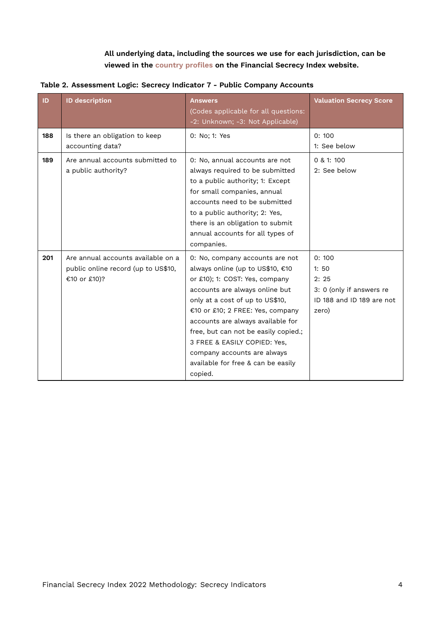<span id="page-3-0"></span>**All underlying data, including the sources we use for each jurisdiction, can be viewed in the [country profiles](https://fsi.taxjustice.net/country-detail) on the Financial Secrecy Index website.**

| ID  | <b>ID description</b>                                                                     | <b>Answers</b><br>(Codes applicable for all questions:<br>-2: Unknown; -3: Not Applicable)                                                                                                                                                                                                                                                                                                                  | <b>Valuation Secrecy Score</b>                                                          |
|-----|-------------------------------------------------------------------------------------------|-------------------------------------------------------------------------------------------------------------------------------------------------------------------------------------------------------------------------------------------------------------------------------------------------------------------------------------------------------------------------------------------------------------|-----------------------------------------------------------------------------------------|
| 188 | Is there an obligation to keep<br>accounting data?                                        | 0: No; 1: Yes                                                                                                                                                                                                                                                                                                                                                                                               | 0:100<br>1: See below                                                                   |
| 189 | Are annual accounts submitted to<br>a public authority?                                   | 0: No, annual accounts are not<br>always required to be submitted<br>to a public authority; 1: Except<br>for small companies, annual<br>accounts need to be submitted<br>to a public authority; 2: Yes,<br>there is an obligation to submit<br>annual accounts for all types of<br>companies.                                                                                                               | 0 & 1: 100<br>2: See below                                                              |
| 201 | Are annual accounts available on a<br>public online record (up to US\$10,<br>€10 or £10)? | 0: No, company accounts are not<br>always online (up to US\$10, €10<br>or £10); 1: COST: Yes, company<br>accounts are always online but<br>only at a cost of up to US\$10,<br>€10 or £10; 2 FREE: Yes, company<br>accounts are always available for<br>free, but can not be easily copied.;<br>3 FREE & EASILY COPIED: Yes,<br>company accounts are always<br>available for free & can be easily<br>copied. | 0:100<br>1:50<br>2:25<br>3: 0 (only if answers re<br>ID 188 and ID 189 are not<br>zero) |

**Table 2. Assessment Logic: Secrecy Indicator 7 - Public Company Accounts**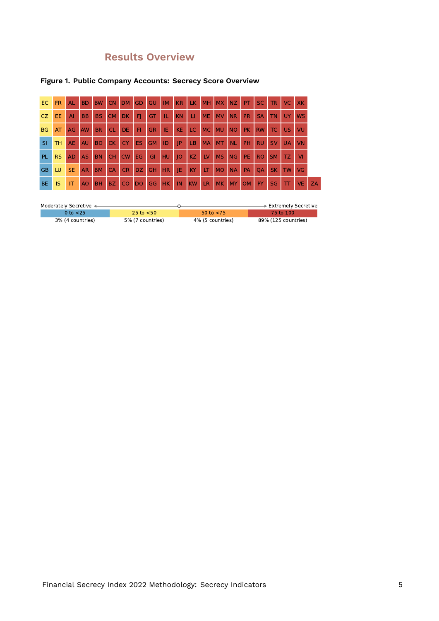# **Results Overview**

### **Figure 1. Public Company Accounts: Secrecy Score Overview**

| EC.       | FR.       | AL        | <b>BD</b>      | <b>BW</b> | <b>CN</b> | <b>DM</b> | GD        | <b>GU</b> | <b>IM</b> | <b>KR</b> | <b>LK</b> | <b>MH</b> | <b>MX</b> | <b>NZ</b> | PT.       | <b>SC</b> | <b>TR</b> | VC.       | <b>XK</b> |           |
|-----------|-----------|-----------|----------------|-----------|-----------|-----------|-----------|-----------|-----------|-----------|-----------|-----------|-----------|-----------|-----------|-----------|-----------|-----------|-----------|-----------|
| CZ.       | EE.       | Al        | <b>BB</b>      | <b>BS</b> | <b>CM</b> | DK.       | -FI       | GT        | TL.       | <b>KN</b> | П         | <b>ME</b> | <b>MV</b> | <b>NR</b> | <b>PR</b> | <b>SA</b> | <b>TN</b> | <b>UY</b> | <b>WS</b> |           |
| <b>BG</b> | AT        | AG        | AW             | <b>BR</b> | <b>CL</b> | DE.       | F1        | <b>GR</b> | IE.       | <b>KE</b> | <b>LC</b> | <b>MC</b> | <b>MU</b> | <b>NO</b> | PK.       | <b>RW</b> | <b>TC</b> | <b>US</b> | VU        |           |
| SI        | TH.       | AE        | AU             | <b>BO</b> | CK.       | <b>CY</b> | ES.       | <b>GM</b> | ID        | IP        | LB        | <b>MA</b> | <b>MT</b> | <b>NL</b> | <b>PH</b> | <b>RU</b> | <b>SV</b> | <b>UA</b> | VN        |           |
| <b>PL</b> | <b>RS</b> | <b>AD</b> | <b>AS</b>      | <b>BN</b> | <b>CH</b> | <b>CW</b> | EG.       | GI        | <b>HU</b> | IO        | KZ.       | LV        | <b>MS</b> | <b>NG</b> | PE.       | <b>RO</b> | <b>SM</b> | TZ.       | <b>VI</b> |           |
| <b>GB</b> | LU        | <b>SE</b> | <b>AR</b>      | <b>BM</b> | <b>CA</b> | <b>CR</b> | DZ.       | <b>GH</b> | <b>HR</b> | ΙE        | KY        | LT        | <b>MO</b> | <b>NA</b> | PA        | <b>OA</b> | <b>SK</b> | <b>TW</b> | VG        |           |
| <b>BE</b> | IS        | IT        | A <sub>O</sub> | <b>BH</b> | BZ.       | <b>CO</b> | <b>DO</b> | GG        | <b>HK</b> | IN        | <b>KW</b> | <b>LR</b> | <b>MK</b> | <b>MY</b> | <b>OM</b> | PY        | SG        | тт        | <b>VE</b> | <b>ZA</b> |

| Moderately Secretive < |                  |                  | ∙ Extremely Secretive |
|------------------------|------------------|------------------|-----------------------|
| 0 to $<$ 25            | 25 to $<$ 50     | 50 to $<$ 75     | 75 to 100.            |
| 3% (4 countries)       | 5% (7 countries) | 4% (5 countries) | 89% (125 countries)   |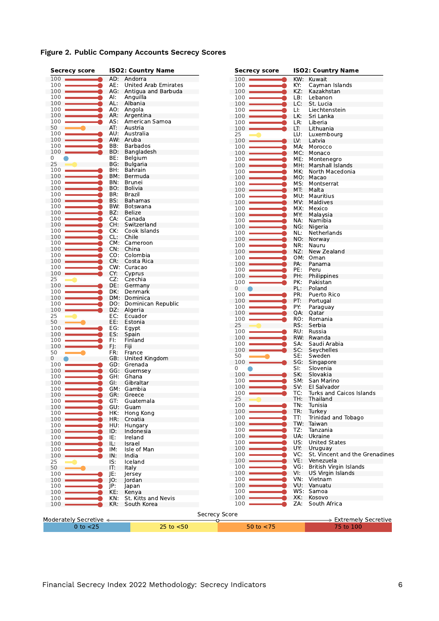|  |  |  | Figure 2. Public Company Accounts Secrecy Scores |  |  |
|--|--|--|--------------------------------------------------|--|--|
|--|--|--|--------------------------------------------------|--|--|

| <b>Secrecy score</b>   |            | <b>ISO2: Country Name</b> | <b>Secrecy score</b> |     | <b>ISO2: Country Name</b>         |  |  |  |
|------------------------|------------|---------------------------|----------------------|-----|-----------------------------------|--|--|--|
| $100$ $\blacksquare$   |            | AD: Andorra               | 100                  | KW: | Kuwait                            |  |  |  |
| 100                    | AE:        | United Arab Emirates      | 100                  | KY: | Cayman Islands                    |  |  |  |
| 100                    | AG.        | Antigua and Barbuda       | 100                  | KZ: | Kazakhstan                        |  |  |  |
| 100                    | AI:        | Anguilla                  | 100                  | LB: | Lebanon                           |  |  |  |
| 100                    | AL:        | Albania                   | 100                  | LC: | St. Lucia                         |  |  |  |
| 100                    | AO.        | Angola                    | 100                  | Ш.  | Liechtenstein                     |  |  |  |
| 100                    | AR:        | Argentina                 | 100                  | LK. | Sri Lanka                         |  |  |  |
| 100                    | AS:        | American Samoa            | 100                  | LR: | Liberia                           |  |  |  |
| 50                     | AT:        | Austria                   | 100                  | LT: | Lithuania                         |  |  |  |
| 100                    | AU:        | Australia                 | 25                   | LU: | Luxembourg                        |  |  |  |
| 100                    | AW:        | Aruba                     | 100                  | LV: | Latvia                            |  |  |  |
| 100                    | BB:        | <b>Barbados</b>           | 100                  | MA: | Morocco                           |  |  |  |
| 100                    | BD:        | Bangladesh                | 100                  | MC: | Monaco                            |  |  |  |
| 0                      | BE:        | Belgium                   | 100                  | ME: | Montenegro                        |  |  |  |
| 25                     | BG:        | Bulgaria                  | 100                  | MH: | Marshall Islands                  |  |  |  |
| 100                    | BH:        | <b>Bahrain</b>            | 100                  | MK: | North Macedonia                   |  |  |  |
| 100                    | BM:        | Bermuda                   | 100                  |     | MO: Macao                         |  |  |  |
| 100                    | BN:        | <b>Brunei</b>             | 100                  | MS: | Montserrat                        |  |  |  |
| 100                    | BO:        | Bolivia                   | 100                  | MT. | Malta                             |  |  |  |
| 100                    | BR:        | Brazil                    | 100                  | MU: | Mauritius                         |  |  |  |
| 100                    | BS:        | Bahamas                   | 100                  | MV: | Maldives                          |  |  |  |
| 100                    | BW:        | Botswana                  | 100                  | MX: | Mexico                            |  |  |  |
| 100                    | BZ:        | Belize                    | 100                  | MY: | Malaysia                          |  |  |  |
| 100                    | CA:        | Canada                    | 100                  | NA. | Namibia                           |  |  |  |
| 100                    | CH:        | Switzerland               | 100                  | NG: | Nigeria                           |  |  |  |
| 100                    | CK:        | Cook Islands              | 100                  | NL: | Netherlands                       |  |  |  |
| 100                    | CL:        | Chile                     | 100                  | NO. | Norway                            |  |  |  |
| 100                    |            | CM: Cameroon              | 100                  | NR: | Nauru                             |  |  |  |
| 100                    | CN:        | China                     | 100                  | NZ: | New Zealand                       |  |  |  |
| 100                    | CO:        | Colombia                  | 100                  | OM: | Oman                              |  |  |  |
| 100                    | CR:        | Costa Rica                | 100                  | PA: | Panama                            |  |  |  |
| 100                    |            | CW: Curacao               | 100                  | PE: | Peru                              |  |  |  |
| 100                    | CY:        | Cyprus                    | 100                  | PH: | Philippines                       |  |  |  |
| 25                     | CZ.        | Czechia                   | 100                  | PK: | Pakistan                          |  |  |  |
| 100                    | DE:        | Germany                   | 0                    | PL: | Poland                            |  |  |  |
| 100                    | DK:        | Denmark                   | 100                  | PR: | Puerto Rico                       |  |  |  |
| 100                    |            | DM: Dominica              | 100                  | PT: | Portugal                          |  |  |  |
| 100                    | DO:        | Dominican Republic        | 100                  | PY: | Paraguay                          |  |  |  |
| 100                    | DZ:        | Algeria                   | 100                  | QA: | Qatar                             |  |  |  |
| 25                     | EC:        | Ecuador                   | 100                  | RO: | Romania                           |  |  |  |
| 50                     | EE:        | Estonia                   | 25                   | RS: | Serbia                            |  |  |  |
| 100                    | EG:        | Egypt                     | 100                  | RU: | Russia                            |  |  |  |
| 100<br>100             | ES:<br>FI: | Spain                     | 100                  | RW: | Rwanda                            |  |  |  |
| 100                    |            | Finland<br>Fiii           | 100                  | SA: | Saudi Arabia                      |  |  |  |
| 50                     | FJ:<br>FR: | France                    | 100                  | SC: | Seychelles                        |  |  |  |
| 0                      | GB:        | United Kingdom            | 50                   | SE: | Sweden                            |  |  |  |
| 100                    | GD:        | Grenada                   | 100                  | SG: | Singapore                         |  |  |  |
| 100                    |            | GG: Guernsey              | 0                    | SI: | Slovenia                          |  |  |  |
| 100                    | GH:        | Ghana                     | 100                  | SK: | Slovakia                          |  |  |  |
| 100                    | GI:        | Gibraltar                 | 100                  | SM: | San Marino                        |  |  |  |
| 100                    |            | GM: Gambia                | 100                  | SV: | El Salvador                       |  |  |  |
| $100 -$                | GR:        | Greece                    | 100                  | TC: | Turks and Caicos Islands          |  |  |  |
| 100                    | GT:        | Guatemala                 | 25                   | TH: | Thailand                          |  |  |  |
| 100                    | GU:        | Guam                      | 100                  | TN: | Tunisia                           |  |  |  |
| 100                    | HK:        | Hong Kong                 | 100                  | TR: | Turkey                            |  |  |  |
| 100                    | HR:        | Croatia                   | 100                  | TT: | Trinidad and Tobago               |  |  |  |
| 100                    | HU:        | Hungary                   | 100                  | TW: | Taiwan                            |  |  |  |
| 100                    | ID:        | Indonesia                 | 100                  | TZ: | Tanzania                          |  |  |  |
| 100                    | IE:        | Ireland                   | 100                  | UA: | Ukraine                           |  |  |  |
| 100                    | IL:        | Israel                    | 100                  | US: | <b>United States</b>              |  |  |  |
| 100                    | IM:        | Isle of Man               | 100                  | UY. | Uruguay                           |  |  |  |
| 100                    | IN:        | India                     | 100                  | VC: | St. Vincent and the Grenadines    |  |  |  |
| 25                     | IS:        | Iceland                   | 100                  | VE: | Venezuela                         |  |  |  |
| 50                     | IT:        | Italy                     | 100                  | VG: | British Virgin Islands            |  |  |  |
| 100                    | JE:        | Jersey                    | 100                  | VI: | US Virgin Islands                 |  |  |  |
| 100                    | IO:        | Jordan                    | 100                  | VN: | Vietnam                           |  |  |  |
| 100                    | JP:        | lapan                     | 100                  | VU: | Vanuatu                           |  |  |  |
| 100                    | KE:        | Kenya                     | 100                  | WS: | Samoa                             |  |  |  |
| 100                    | KN:        | St. Kitts and Nevis       | 100                  | XK: | Kosovo                            |  |  |  |
| 100                    | KR:        | South Korea               | 100                  | ZA: | South Africa                      |  |  |  |
|                        |            |                           |                      |     |                                   |  |  |  |
|                        |            |                           | <b>Secrecy Score</b> |     |                                   |  |  |  |
| Moderately Secretive ← |            |                           | ᠊ᢦ                   |     | $\Rightarrow$ Extremely Secretive |  |  |  |
| $0$ to $<$ 25          |            | $25$ to $< 50$            | 50 to $<$ 75         |     | 75 to 100                         |  |  |  |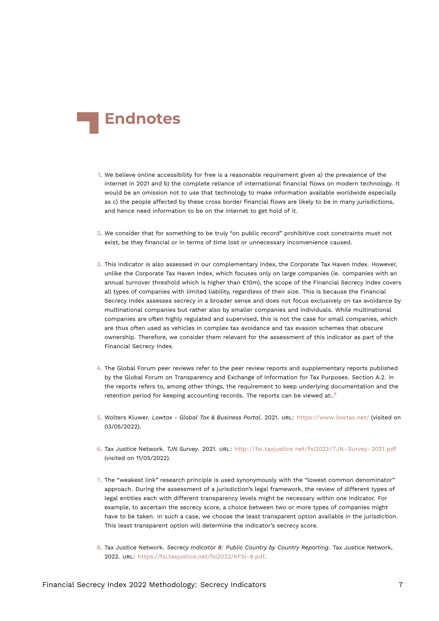<span id="page-6-9"></span>

- <span id="page-6-0"></span>[1.](#page-0-1) We believe online accessibility for free is a reasonable requirement given a) the prevalence of the internet in 2021 and b) the complete reliance of international financial flows on modern technology. It would be an omission not to use that technology to make information available worldwide especially as c) the people affected by these cross border financial flows are likely to be in many jurisdictions, and hence need information to be on the internet to get hold of it.
- <span id="page-6-1"></span>[2.](#page-1-0) We consider that for something to be truly "on public record" prohibitive cost constraints must not exist, be they financial or in terms of time lost or unnecessary inconvenience caused.
- <span id="page-6-2"></span>[3.](#page-1-1) This indicator is also assessed in our complementary index, the Corporate Tax Haven Index. However, unlike the Corporate Tax Haven Index, which focuses only on large companies (ie. companies with an annual turnover threshold which is higher than €10m), the scope of the Financial Secrecy Index covers all types of companies with limited liability, regardless of their size. This is because the Financial Secrecy Index assesses secrecy in a broader sense and does not focus exclusively on tax avoidance by multinational companies but rather also by smaller companies and individuals. While multinational companies are often highly regulated and supervised, this is not the case for small companies, which are thus often used as vehicles in complex tax avoidance and tax evasion schemes that obscure ownership. Therefore, we consider them relevant for the assessment of this indicator as part of the Financial Secrecy Index.
- <span id="page-6-3"></span>[4.](#page-1-2) The Global Forum peer reviews refer to the peer review reports and supplementary reports published by the Global Forum on Transparency and Exchange of Information for Tax Purposes. Section A.2. in the reports refers to, among other things, the requirement to keep underlying documentation and the retention period for keeping accounting records. The reports can be viewed at:. $9$
- <span id="page-6-8"></span><span id="page-6-4"></span>[5.](#page-1-3) Wolters Kluwer. *Lowtax - Global Tax & Business Portal*. 2021. URL: <https://www.lowtax.net/> (visited on 03/05/2022).
- <span id="page-6-5"></span>[6.](#page-1-4) Tax Justice Network. *TJN Survey*. 2021. URL: [http://fsi.taxjustice.net/fsi2022/TJN- Survey- 2021.pdf](http://fsi.taxjustice.net/fsi2022/TJN-Survey-2021.pdf) (visited on 11/05/2022).
- <span id="page-6-6"></span>[7.](#page-2-0) The "weakest link" research principle is used synonymously with the "lowest common denominator" approach. During the assessment of a jurisdiction's legal framework, the review of different types of legal entities each with different transparency levels might be necessary within one indicator. For example, to ascertain the secrecy score, a choice between two or more types of companies might have to be taken. In such a case, we choose the least transparent option available in the jurisdiction. This least transparent option will determine the indicator's secrecy score.
- <span id="page-6-7"></span>[8.](#page-2-1) Tax Justice Network. *Secrecy Indicator 8: Public Country by Country Reporting*. Tax Justice Network, 2022. URL: <https://fsi.taxjustice.net/fsi2022/KFSI-8.pdf>.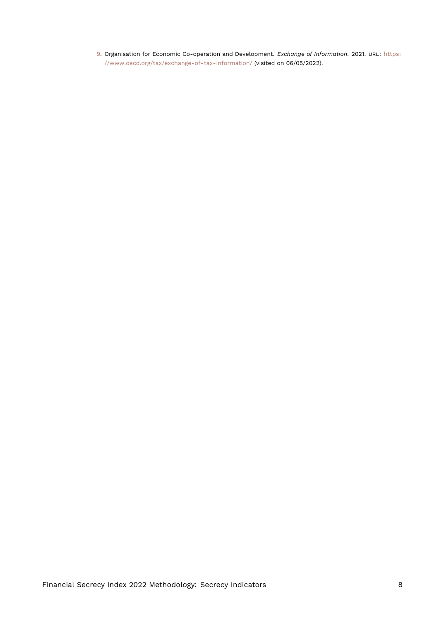<span id="page-7-1"></span><span id="page-7-0"></span>[9.](#page-6-8) Organisation for Economic Co-operation and Development. *Exchange of Information*. 2021. URL: [https:](https://www.oecd.org/tax/exchange-of-tax-information/) [//www.oecd.org/tax/exchange-of-tax-information/](https://www.oecd.org/tax/exchange-of-tax-information/) (visited on 06/05/2022).